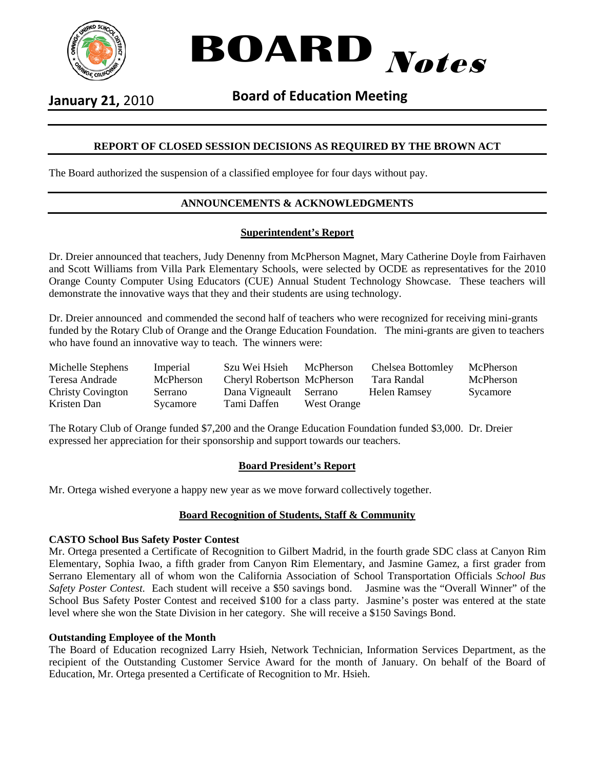



**January 21,** 2010 **Board of Education Meeting**

# **REPORT OF CLOSED SESSION DECISIONS AS REQUIRED BY THE BROWN ACT**

The Board authorized the suspension of a classified employee for four days without pay.

# **ANNOUNCEMENTS & ACKNOWLEDGMENTS**

### **Superintendent's Report**

Dr. Dreier announced that teachers, Judy Denenny from McPherson Magnet, Mary Catherine Doyle from Fairhaven and Scott Williams from Villa Park Elementary Schools, were selected by OCDE as representatives for the 2010 Orange County Computer Using Educators (CUE) Annual Student Technology Showcase. These teachers will demonstrate the innovative ways that they and their students are using technology.

Dr. Dreier announced and commended the second half of teachers who were recognized for receiving mini-grants funded by the Rotary Club of Orange and the Orange Education Foundation. The mini-grants are given to teachers who have found an innovative way to teach. The winners were:

| Michelle Stephens        | Imperial  | Szu Wei Hsieh              | McPherson   | Chelsea Bottomley | McPherson |
|--------------------------|-----------|----------------------------|-------------|-------------------|-----------|
| Teresa Andrade           | McPherson | Cheryl Robertson McPherson |             | Tara Randal       | McPherson |
| <b>Christy Covington</b> | Serrano   | Dana Vigneault             | Serrano     | Helen Ramsey      | Sycamore  |
| Kristen Dan              | Sycamore  | Tami Daffen                | West Orange |                   |           |

The Rotary Club of Orange funded \$7,200 and the Orange Education Foundation funded \$3,000. Dr. Dreier expressed her appreciation for their sponsorship and support towards our teachers.

#### **Board President's Report**

Mr. Ortega wished everyone a happy new year as we move forward collectively together.

#### **Board Recognition of Students, Staff & Community**

#### **CASTO School Bus Safety Poster Contest**

Mr. Ortega presented a Certificate of Recognition to Gilbert Madrid, in the fourth grade SDC class at Canyon Rim Elementary, Sophia Iwao, a fifth grader from Canyon Rim Elementary, and Jasmine Gamez, a first grader from Serrano Elementary all of whom won the California Association of School Transportation Officials *School Bus Safety Poster Contest*. Each student will receive a \$50 savings bond. Jasmine was the "Overall Winner" of the School Bus Safety Poster Contest and received \$100 for a class party. Jasmine's poster was entered at the state level where she won the State Division in her category. She will receive a \$150 Savings Bond.

#### **Outstanding Employee of the Month**

The Board of Education recognized Larry Hsieh, Network Technician, Information Services Department, as the recipient of the Outstanding Customer Service Award for the month of January. On behalf of the Board of Education, Mr. Ortega presented a Certificate of Recognition to Mr. Hsieh.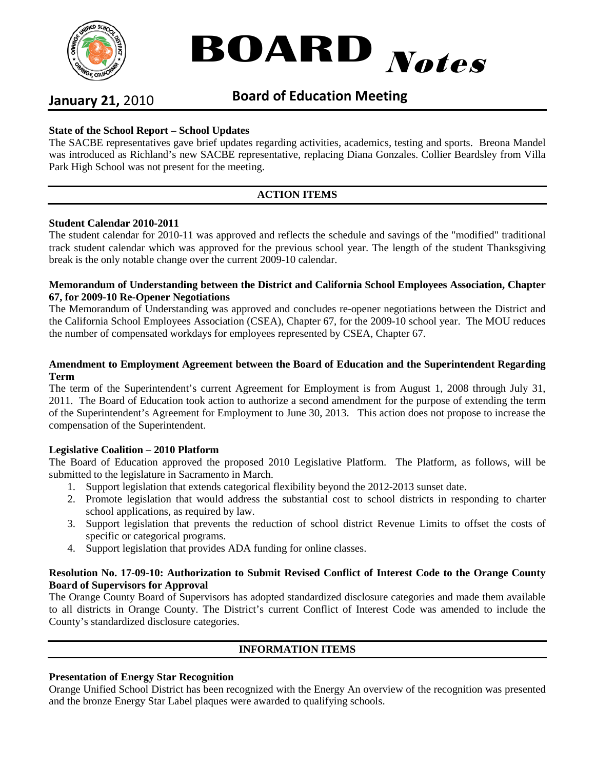



# **January 21,** 2010 **Board of Education Meeting**

# **State of the School Report – School Updates**

The SACBE representatives gave brief updates regarding activities, academics, testing and sports. Breona Mandel was introduced as Richland's new SACBE representative, replacing Diana Gonzales. Collier Beardsley from Villa Park High School was not present for the meeting.

# **ACTION ITEMS**

#### **Student Calendar 2010-2011**

The student calendar for 2010-11 was approved and reflects the schedule and savings of the "modified" traditional track student calendar which was approved for the previous school year. The length of the student Thanksgiving break is the only notable change over the current 2009-10 calendar.

#### **Memorandum of Understanding between the District and California School Employees Association, Chapter 67, for 2009-10 Re-Opener Negotiations**

The Memorandum of Understanding was approved and concludes re-opener negotiations between the District and the California School Employees Association (CSEA), Chapter 67, for the 2009-10 school year. The MOU reduces the number of compensated workdays for employees represented by CSEA, Chapter 67.

#### **Amendment to Employment Agreement between the Board of Education and the Superintendent Regarding Term**

The term of the Superintendent's current Agreement for Employment is from August 1, 2008 through July 31, 2011. The Board of Education took action to authorize a second amendment for the purpose of extending the term of the Superintendent's Agreement for Employment to June 30, 2013. This action does not propose to increase the compensation of the Superintendent.

#### **Legislative Coalition – 2010 Platform**

The Board of Education approved the proposed 2010 Legislative Platform. The Platform, as follows, will be submitted to the legislature in Sacramento in March.

- 1. Support legislation that extends categorical flexibility beyond the 2012-2013 sunset date.
- 2. Promote legislation that would address the substantial cost to school districts in responding to charter school applications, as required by law.
- 3. Support legislation that prevents the reduction of school district Revenue Limits to offset the costs of specific or categorical programs.
- 4. Support legislation that provides ADA funding for online classes.

#### **Resolution No. 17-09-10: Authorization to Submit Revised Conflict of Interest Code to the Orange County Board of Supervisors for Approval**

The Orange County Board of Supervisors has adopted standardized disclosure categories and made them available to all districts in Orange County. The District's current Conflict of Interest Code was amended to include the County's standardized disclosure categories.

# **INFORMATION ITEMS**

#### **Presentation of Energy Star Recognition**

Orange Unified School District has been recognized with the Energy An overview of the recognition was presented and the bronze Energy Star Label plaques were awarded to qualifying schools.